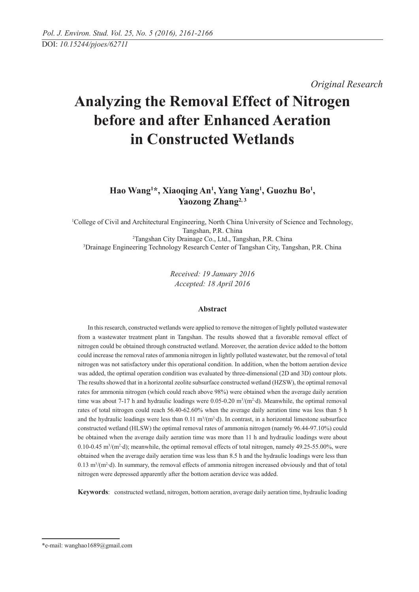*Original Research* 

# **Analyzing the Removal Effect of Nitrogen before and after Enhanced Aeration in Constructed Wetlands**

# Hao Wang<sup>1\*</sup>, Xiaoqing An<sup>1</sup>, Yang Yang<sup>1</sup>, Guozhu Bo<sup>1</sup>, Yaozong Zhang<sup>2, 3</sup>

 College of Civil and Architectural Engineering, North China University of Science and Technology, Tangshan, P.R. China Tangshan City Drainage Co., Ltd., Tangshan, P.R. China Drainage Engineering Technology Research Center of Tangshan City, Tangshan, P.R. China

> *Received: 19 January 2016 Accepted: 18 April 2016*

## **Abstract**

In this research, constructed wetlands were applied to remove the nitrogen of lightly polluted wastewater from a wastewater treatment plant in Tangshan. The results showed that a favorable removal effect of nitrogen could be obtained through constructed wetland. Moreover, the aeration device added to the bottom could increase the removal rates of ammonia nitrogen in lightly polluted wastewater, but the removal of total nitrogen was not satisfactory under this operational condition. In addition, when the bottom aeration device was added, the optimal operation condition was evaluated by three-dimensional (2D and 3D) contour plots. The results showed that in a horizontal zeolite subsurface constructed wetland (HZSW), the optimal removal rates for ammonia nitrogen (which could reach above 98%) were obtained when the average daily aeration time was about 7-17 h and hydraulic loadings were  $0.05$ -0.20 m<sup>3</sup>/(m<sup>2</sup> $\cdot$ d). Meanwhile, the optimal removal rates of total nitrogen could reach 56.40-62.60% when the average daily aeration time was less than 5 h and the hydraulic loadings were less than  $0.11 \text{ m}^3/(\text{m}^2 \cdot \text{d})$ . In contrast, in a horizontal limestone subsurface constructed wetland (HLSW) the optimal removal rates of ammonia nitrogen (namely 96.44-97.10%) could be obtained when the average daily aeration time was more than 11 h and hydraulic loadings were about  $0.10$ - $0.45$  m<sup>3</sup>/(m<sup>2</sup>·d); meanwhile, the optimal removal effects of total nitrogen, namely 49.25-55.00%, were obtained when the average daily aeration time was less than 8.5 h and the hydraulic loadings were less than  $0.13 \text{ m}^3/\text{(m}^2 \cdot \text{d})$ . In summary, the removal effects of ammonia nitrogen increased obviously and that of total nitrogen were depressed apparently after the bottom aeration device was added.

**Keywords**: constructed wetland, nitrogen, bottom aeration, average daily aeration time, hydraulic loading

<sup>\*</sup>e-mail: wanghao1689@gmail.com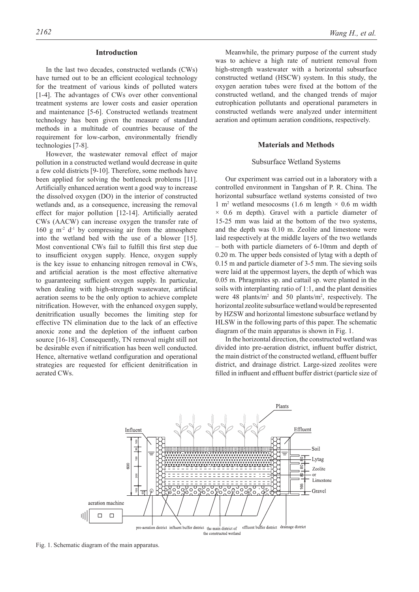#### **Introduction**

In the last two decades, constructed wetlands (CWs) have turned out to be an efficient ecological technology for the treatment of various kinds of polluted waters [1-4]. The advantages of CWs over other conventional treatment systems are lower costs and easier operation and maintenance [5-6]. Constructed wetlands treatment technology has been given the measure of standard methods in a multitude of countries because of the requirement for low-carbon, environmentally friendly technologies [7-8].

However, the wastewater removal effect of major pollution in a constructed wetland would decrease in quite a few cold districts [9-10]. Therefore, some methods have been applied for solving the bottleneck problems [11]. Artificially enhanced aeration went a good way to increase the dissolved oxygen (DO) in the interior of constructed wetlands and, as a consequence, increasing the removal effect for major pollution [12-14]. Artificially aerated CWs (AACW) can increase oxygen the transfer rate of  $160 \text{ g m}^2$  d<sup>-1</sup> by compressing air from the atmosphere into the wetland bed with the use of a blower [15]. Most conventional CWs fail to fulfill this first step due to insufficient oxygen supply. Hence, oxygen supply is the key issue to enhancing nitrogen removal in CWs, and artificial aeration is the most effective alternative to guaranteeing sufficient oxygen supply. In particular, when dealing with high-strength wastewater, artificial aeration seems to be the only option to achieve complete nitrification. However, with the enhanced oxygen supply, denitrification usually becomes the limiting step for effective TN elimination due to the lack of an effective anoxic zone and the depletion of the influent carbon source [16-18]. Consequently, TN removal might still not be desirable even if nitrification has been well conducted. Hence, alternative wetland configuration and operational strategies are requested for efficient denitrification in aerated CWs.

Meanwhile, the primary purpose of the current study was to achieve a high rate of nutrient removal from high-strength wastewater with a horizontal subsurface constructed wetland (HSCW) system. In this study, the oxygen aeration tubes were fixed at the bottom of the constructed wetland, and the changed trends of major eutrophication pollutants and operational parameters in constructed wetlands were analyzed under intermittent aeration and optimum aeration conditions, respectively.

#### **Materials and Methods**

#### Subsurface Wetland Systems

Our experiment was carried out in a laboratory with a controlled environment in Tangshan of P. R. China. The horizontal subsurface wetland systems consisted of two 1 m<sup>2</sup> wetland mesocosms (1.6 m length  $\times$  0.6 m width  $\times$  0.6 m depth). Gravel with a particle diameter of 15-25 mm was laid at the bottom of the two systems, and the depth was 0.10 m. Zeolite and limestone were laid respectively at the middle layers of the two wetlands – both with particle diameters of 6-10mm and depth of 0.20 m. The upper beds consisted of lytag with a depth of 0.15 m and particle diameter of 3-5 mm. The sieving soils were laid at the uppermost layers, the depth of which was 0.05 m. Phragmites sp. and cattail sp. were planted in the soils with interplanting ratio of 1:1, and the plant densities were 48 plants/ $m<sup>2</sup>$  and 50 plants/ $m<sup>2</sup>$ , respectively. The horizontal zeolite subsurface wetland would be represented by HZSW and horizontal limestone subsurface wetland by HLSW in the following parts of this paper. The schematic diagram of the main apparatus is shown in Fig. 1.

In the horizontal direction, the constructed wetland was divided into pre-aeration district, influent buffer district, the main district of the constructed wetland, effluent buffer district, and drainage district. Large-sized zeolites were filled in influent and effluent buffer district (particle size of



Fig. 1. Schematic diagram of the main apparatus.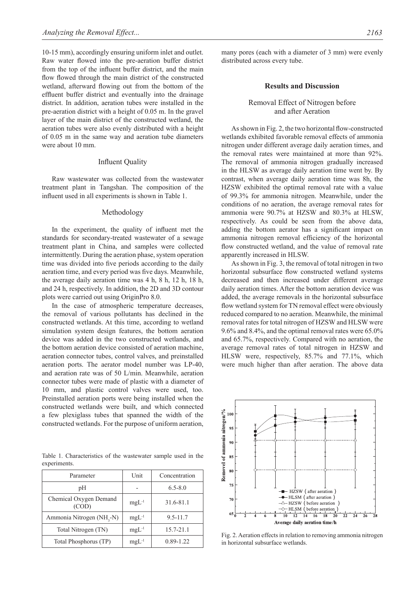10-15 mm), accordingly ensuring uniform inlet and outlet. Raw water flowed into the pre-aeration buffer district from the top of the influent buffer district, and the main flow flowed through the main district of the constructed wetland, afterward flowing out from the bottom of the effluent buffer district and eventually into the drainage district. In addition, aeration tubes were installed in the pre-aeration district with a height of 0.05 m. In the gravel layer of the main district of the constructed wetland, the aeration tubes were also evenly distributed with a height of 0.05 m in the same way and aeration tube diameters were about 10 mm.

# Influent Quality

Raw wastewater was collected from the wastewater treatment plant in Tangshan. The composition of the influent used in all experiments is shown in Table 1.

#### Methodology

In the experiment, the quality of influent met the standards for secondary-treated wastewater of a sewage treatment plant in China, and samples were collected intermittently. During the aeration phase, system operation time was divided into five periods according to the daily aeration time, and every period was five days. Meanwhile, the average daily aeration time was 4 h, 8 h, 12 h, 18 h, and 24 h, respectively. In addition, the 2D and 3D contour plots were carried out using OriginPro 8.0.

In the case of atmospheric temperature decreases, the removal of various pollutants has declined in the constructed wetlands. At this time, according to wetland simulation system design features, the bottom aeration device was added in the two constructed wetlands, and the bottom aeration device consisted of aeration machine, aeration connector tubes, control valves, and preinstalled aeration ports. The aerator model number was LP-40, and aeration rate was of 50 L/min. Meanwhile, aeration connector tubes were made of plastic with a diameter of 10 mm, and plastic control valves were used, too. Preinstalled aeration ports were being installed when the constructed wetlands were built, and which connected a few plexiglass tubes that spanned the width of the constructed wetlands. For the purpose of uniform aeration,

Table 1. Characteristics of the wastewater sample used in the experiments.

| Parameter                             | Unit       | Concentration |
|---------------------------------------|------------|---------------|
| pH                                    |            | $6.5 - 8.0$   |
| Chemical Oxygen Demand<br>(COD)       | $mgL^{-1}$ | 31.6-81.1     |
| Ammonia Nitrogen (NH <sub>2</sub> -N) | $mgL^{-1}$ | $9.5 - 11.7$  |
| Total Nitrogen (TN)                   | $mgL^{-1}$ | 15.7-21.1     |
| Total Phosphorus (TP)                 | $mgL^{-1}$ | $0.89 - 1.22$ |

many pores (each with a diameter of 3 mm) were evenly distributed across every tube.

#### **Results and Discussion**

# Removal Effect of Nitrogen before and after Aeration

As shown in Fig. 2, the two horizontal flow-constructed wetlands exhibited favorable removal effects of ammonia nitrogen under different average daily aeration times, and the removal rates were maintained at more than 92%. The removal of ammonia nitrogen gradually increased in the HLSW as average daily aeration time went by. By contrast, when average daily aeration time was 8h, the HZSW exhibited the optimal removal rate with a value of 99.3% for ammonia nitrogen. Meanwhile, under the conditions of no aeration, the average removal rates for ammonia were 90.7% at HZSW and 80.3% at HLSW, respectively. As could be seen from the above data, adding the bottom aerator has a significant impact on ammonia nitrogen removal efficiency of the horizontal flow constructed wetland, and the value of removal rate apparently increased in HLSW.

As shown in Fig. 3, the removal of total nitrogen in two horizontal subsurface flow constructed wetland systems decreased and then increased under different average daily aeration times. After the bottom aeration device was added, the average removals in the horizontal subsurface flow wetland system for TN removal effect were obviously reduced compared to no aeration. Meanwhile, the minimal removal rates for total nitrogen of HZSW and HLSW were 9.6% and 8.4%, and the optimal removal rates were 65.0% and 65.7%, respectively. Compared with no aeration, the average removal rates of total nitrogen in HZSW and HLSW were, respectively, 85.7% and 77.1%, which were much higher than after aeration. The above data



Fig. 2. Aeration effects in relation to removing ammonia nitrogen in horizontal subsurface wetlands.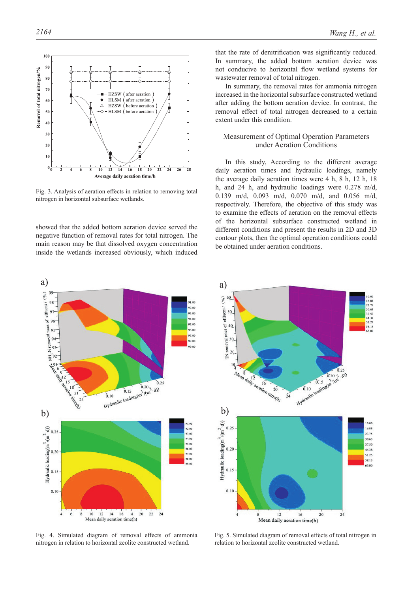

Fig. 3. Analysis of aeration effects in relation to removing total nitrogen in horizontal subsurface wetlands.

showed that the added bottom aeration device served the negative function of removal rates for total nitrogen. The main reason may be that dissolved oxygen concentration inside the wetlands increased obviously, which induced

that the rate of denitrification was significantly reduced. In summary, the added bottom aeration device was not conducive to horizontal flow wetland systems for wastewater removal of total nitrogen.

In summary, the removal rates for ammonia nitrogen increased in the horizontal subsurface constructed wetland after adding the bottom aeration device. In contrast, the removal effect of total nitrogen decreased to a certain extent under this condition.

## Measurement of Optimal Operation Parameters under Aeration Conditions

In this study, According to the different average daily aeration times and hydraulic loadings, namely the average daily aeration times were 4 h, 8 h, 12 h, 18 h, and 24 h, and hydraulic loadings were 0.278 m/d, 0.139 m/d, 0.093 m/d, 0.070 m/d, and 0.056 m/d, respectively. Therefore, the objective of this study was to examine the effects of aeration on the removal effects of the horizontal subsurface constructed wetland in different conditions and present the results in 2D and 3D contour plots, then the optimal operation conditions could be obtained under aeration conditions.



Fig. 4. Simulated diagram of removal effects of ammonia nitrogen in relation to horizontal zeolite constructed wetland.



Fig. 5. Simulated diagram of removal effects of total nitrogen in relation to horizontal zeolite constructed wetland.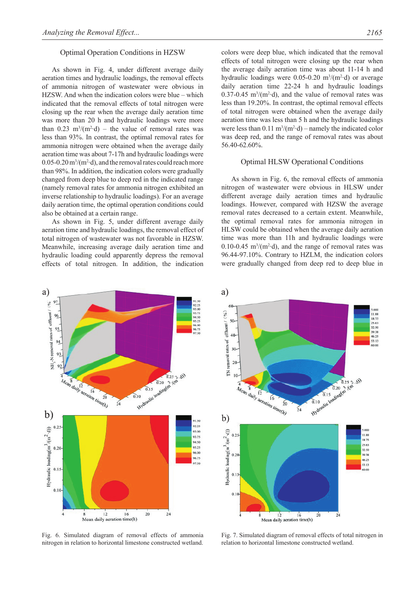#### Optimal Operation Conditions in HZSW

As shown in Fig. 4, under different average daily aeration times and hydraulic loadings, the removal effects of ammonia nitrogen of wastewater were obvious in HZSW. And when the indication colors were blue – which indicated that the removal effects of total nitrogen were closing up the rear when the average daily aeration time was more than 20 h and hydraulic loadings were more than  $0.23 \text{ m}^3/\text{(m}^2 \cdot \text{d})$  – the value of removal rates was less than 93%. In contrast, the optimal removal rates for ammonia nitrogen were obtained when the average daily aeration time was about 7-17h and hydraulic loadings were  $0.05$ -0.20 m<sup>3</sup>/(m<sup>2</sup>·d), and the removal rates could reach more than 98%. In addition, the indication colors were gradually changed from deep blue to deep red in the indicated range (namely removal rates for ammonia nitrogen exhibited an inverse relationship to hydraulic loadings). For an average daily aeration time, the optimal operation conditions could also be obtained at a certain range.

As shown in Fig. 5, under different average daily aeration time and hydraulic loadings, the removal effect of total nitrogen of wastewater was not favorable in HZSW. Meanwhile, increasing average daily aeration time and hydraulic loading could apparently depress the removal effects of total nitrogen. In addition, the indication



Fig. 6. Simulated diagram of removal effects of ammonia nitrogen in relation to horizontal limestone constructed wetland.

colors were deep blue, which indicated that the removal effects of total nitrogen were closing up the rear when the average daily aeration time was about 11-14 h and hydraulic loadings were  $0.05$ -0.20 m<sup>3</sup>/(m<sup>2</sup>·d) or average daily aeration time 22-24 h and hydraulic loadings  $0.37$ -0.45 m<sup>3</sup>/(m<sup>2</sup>·d), and the value of removal rates was less than 19.20%. In contrast, the optimal removal effects of total nitrogen were obtained when the average daily aeration time was less than 5 h and the hydraulic loadings were less than  $0.11 \text{ m}^3/(\text{m}^2 \cdot \text{d})$  – namely the indicated color was deep red, and the range of removal rates was about 56.40-62.60%.

# Optimal HLSW Operational Conditions

As shown in Fig. 6, the removal effects of ammonia nitrogen of wastewater were obvious in HLSW under different average daily aeration times and hydraulic loadings. However, compared with HZSW the average removal rates decreased to a certain extent. Meanwhile, the optimal removal rates for ammonia nitrogen in HLSW could be obtained when the average daily aeration time was more than 11h and hydraulic loadings were  $0.10$ -0.45 m<sup>3</sup>/(m<sup>2</sup>·d), and the range of removal rates was 96.44-97.10%. Contrary to HZLM, the indication colors were gradually changed from deep red to deep blue in



Fig. 7. Simulated diagram of removal effects of total nitrogen in relation to horizontal limestone constructed wetland.